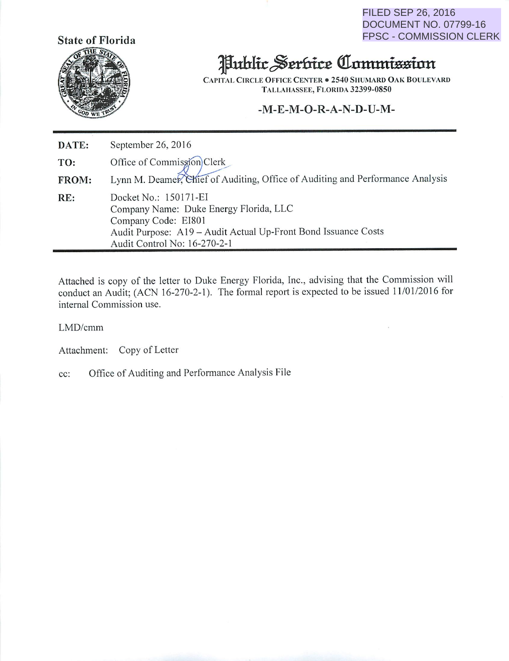FILED SEP 26, 2016 DOCUMENT NO. 07799-16 FPSC - COMMISSION CLERK



## Hublic Serbice Commission

CAPITAL CIRCLE OFFICE CENTER . 2540 SHUMARD OAK BOULEVARD Tallahassee, Florida 32399-0850

### *-M-E-M-O-R-A-N-D-U-M-*

*DATE:* September 26, 2016 TO: Office of Commission Clerk **FROM:** Lynn M. Deamer, Chief of Auditing, Office of Auditing and Performance Analysis RE: Docket No.: 150171-EI Company Name: Duke Energy Florida, LLC Company Code: EI801 Audit Purpose: A19 - Audit Actual Up-Front Bond Issuance Costs Audit Control No: 16-270-2-1

Attached is copy of the letter to Duke Energy Florida, Inc., advising that the Commission will conduct an Audit; (ACN 16-270-2-1). The formal report is expected to be issued 11/01/2016 for internal Commission use.

LMD/cmm

Attachment: Copy of Letter

cc: Office of Auditing and Performance Analysis File